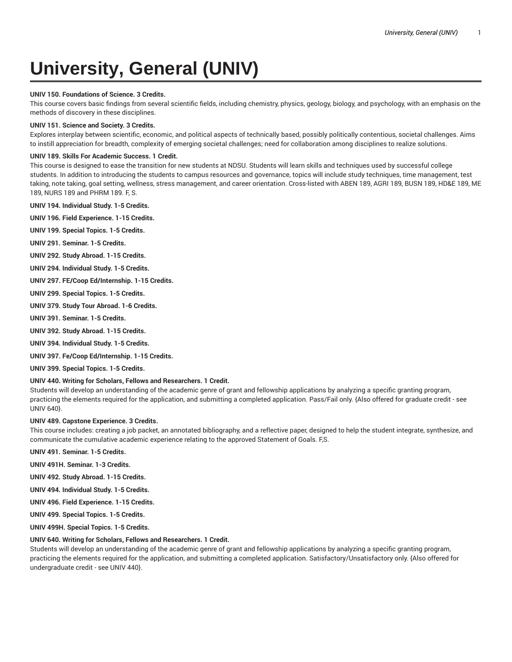# **University, General (UNIV)**

## **UNIV 150. Foundations of Science. 3 Credits.**

This course covers basic findings from several scientific fields, including chemistry, physics, geology, biology, and psychology, with an emphasis on the methods of discovery in these disciplines.

## **UNIV 151. Science and Society. 3 Credits.**

Explores interplay between scientific, economic, and political aspects of technically based, possibly politically contentious, societal challenges. Aims to instill appreciation for breadth, complexity of emerging societal challenges; need for collaboration among disciplines to realize solutions.

## **UNIV 189. Skills For Academic Success. 1 Credit.**

This course is designed to ease the transition for new students at NDSU. Students will learn skills and techniques used by successful college students. In addition to introducing the students to campus resources and governance, topics will include study techniques, time management, test taking, note taking, goal setting, wellness, stress management, and career orientation. Cross-listed with ABEN 189, AGRI 189, BUSN 189, HD&E 189, ME 189, NURS 189 and PHRM 189. F, S.

**UNIV 194. Individual Study. 1-5 Credits.**

**UNIV 196. Field Experience. 1-15 Credits.**

**UNIV 199. Special Topics. 1-5 Credits.**

**UNIV 291. Seminar. 1-5 Credits.**

**UNIV 292. Study Abroad. 1-15 Credits.**

**UNIV 294. Individual Study. 1-5 Credits.**

**UNIV 297. FE/Coop Ed/Internship. 1-15 Credits.**

**UNIV 299. Special Topics. 1-5 Credits.**

**UNIV 379. Study Tour Abroad. 1-6 Credits.**

**UNIV 391. Seminar. 1-5 Credits.**

**UNIV 392. Study Abroad. 1-15 Credits.**

**UNIV 394. Individual Study. 1-5 Credits.**

**UNIV 397. Fe/Coop Ed/Internship. 1-15 Credits.**

**UNIV 399. Special Topics. 1-5 Credits.**

## **UNIV 440. Writing for Scholars, Fellows and Researchers. 1 Credit.**

Students will develop an understanding of the academic genre of grant and fellowship applications by analyzing a specific granting program, practicing the elements required for the application, and submitting a completed application. Pass/Fail only. {Also offered for graduate credit - see UNIV 640}.

**UNIV 489. Capstone Experience. 3 Credits.**

This course includes: creating a job packet, an annotated bibliography, and a reflective paper, designed to help the student integrate, synthesize, and communicate the cumulative academic experience relating to the approved Statement of Goals. F,S.

**UNIV 491. Seminar. 1-5 Credits.**

**UNIV 491H. Seminar. 1-3 Credits.**

**UNIV 492. Study Abroad. 1-15 Credits.**

**UNIV 494. Individual Study. 1-5 Credits.**

**UNIV 496. Field Experience. 1-15 Credits.**

**UNIV 499. Special Topics. 1-5 Credits.**

**UNIV 499H. Special Topics. 1-5 Credits.**

## **UNIV 640. Writing for Scholars, Fellows and Researchers. 1 Credit.**

Students will develop an understanding of the academic genre of grant and fellowship applications by analyzing a specific granting program, practicing the elements required for the application, and submitting a completed application. Satisfactory/Unsatisfactory only. {Also offered for undergraduate credit - see UNIV 440}.